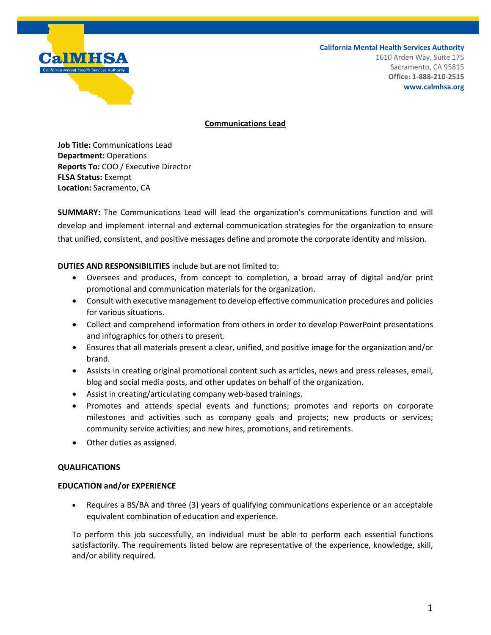# **a. IM HISA**

**California Mental Health Services Authority**

1610 Arden Way, Suite 175 Sacramento, CA 95815 **Office: 1-888-210-2515 www.calmhsa.org**

## **Communications Lead**

**Job Title:** Communications Lead **Department:** Operations **Reports To:** COO / Executive Director **FLSA Status:** Exempt **Location:** Sacramento, CA

**SUMMARY:** The Communications Lead will lead the organization's communications function and will develop and implement internal and external communication strategies for the organization to ensure that unified, consistent, and positive messages define and promote the corporate identity and mission.

# **DUTIES AND RESPONSIBILITIES** include but are not limited to:

- Oversees and produces, from concept to completion, a broad array of digital and/or print promotional and communication materials for the organization.
- Consult with executive management to develop effective communication procedures and policies for various situations.
- Collect and comprehend information from others in order to develop PowerPoint presentations and infographics for others to present.
- Ensures that all materials present a clear, unified, and positive image for the organization and/or brand.
- Assists in creating original promotional content such as articles, news and press releases, email, blog and social media posts, and other updates on behalf of the organization.
- Assist in creating/articulating company web-based trainings.
- Promotes and attends special events and functions; promotes and reports on corporate milestones and activities such as company goals and projects; new products or services; community service activities; and new hires, promotions, and retirements.
- Other duties as assigned.

# **QUALIFICATIONS**

# **EDUCATION and/or EXPERIENCE**

• Requires a BS/BA and three (3) years of qualifying communications experience or an acceptable equivalent combination of education and experience.

To perform this job successfully, an individual must be able to perform each essential functions satisfactorily. The requirements listed below are representative of the experience, knowledge, skill, and/or ability required.